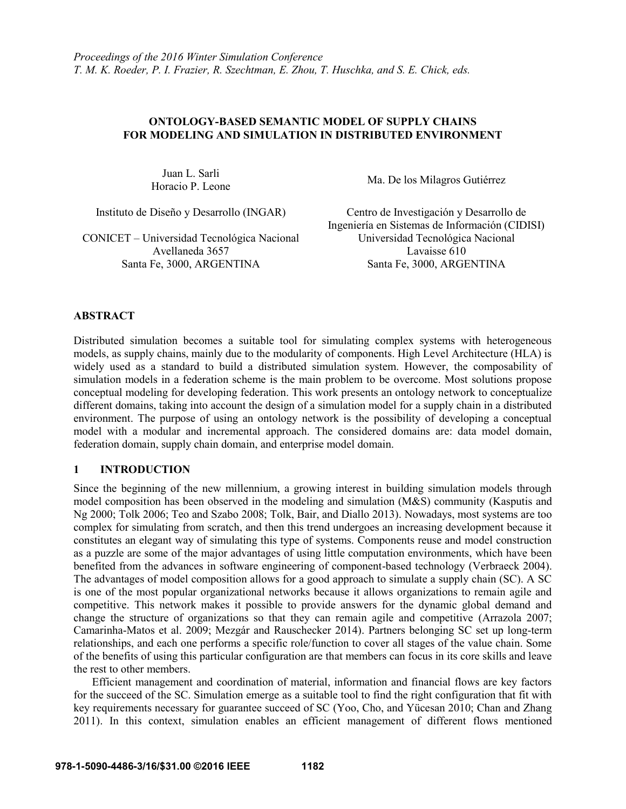# **ONTOLOGY-BASED SEMANTIC MODEL OF SUPPLY CHAINS FOR MODELING AND SIMULATION IN DISTRIBUTED ENVIRONMENT**

Juan L. Sarli

CONICET – Universidad Tecnológica Nacional Avellaneda 3657

Horacio P. Leone Ma. De los Milagros Gutiérrez

Instituto de Diseño y Desarrollo (INGAR) Centro de Investigación y Desarrollo de Ingeniería en Sistemas de Información (CIDISI) Universidad Tecnológica Nacional Lavaisse 610 Santa Fe, 3000, ARGENTINA Santa Fe, 3000, ARGENTINA

# **ABSTRACT**

Distributed simulation becomes a suitable tool for simulating complex systems with heterogeneous models, as supply chains, mainly due to the modularity of components. High Level Architecture (HLA) is widely used as a standard to build a distributed simulation system. However, the composability of simulation models in a federation scheme is the main problem to be overcome. Most solutions propose conceptual modeling for developing federation. This work presents an ontology network to conceptualize different domains, taking into account the design of a simulation model for a supply chain in a distributed environment. The purpose of using an ontology network is the possibility of developing a conceptual model with a modular and incremental approach. The considered domains are: data model domain, federation domain, supply chain domain, and enterprise model domain.

# **1 INTRODUCTION**

Since the beginning of the new millennium, a growing interest in building simulation models through model composition has been observed in the modeling and simulation (M&S) community (Kasputis and Ng 2000; Tolk 2006; Teo and Szabo 2008; Tolk, Bair, and Diallo 2013). Nowadays, most systems are too complex for simulating from scratch, and then this trend undergoes an increasing development because it constitutes an elegant way of simulating this type of systems. Components reuse and model construction as a puzzle are some of the major advantages of using little computation environments, which have been benefited from the advances in software engineering of component-based technology (Verbraeck 2004). The advantages of model composition allows for a good approach to simulate a supply chain (SC). A SC is one of the most popular organizational networks because it allows organizations to remain agile and competitive. This network makes it possible to provide answers for the dynamic global demand and change the structure of organizations so that they can remain agile and competitive (Arrazola 2007; Camarinha-Matos et al. 2009; Mezgár and Rauschecker 2014). Partners belonging SC set up long-term relationships, and each one performs a specific role/function to cover all stages of the value chain. Some of the benefits of using this particular configuration are that members can focus in its core skills and leave the rest to other members.

Efficient management and coordination of material, information and financial flows are key factors for the succeed of the SC. Simulation emerge as a suitable tool to find the right configuration that fit with key requirements necessary for guarantee succeed of SC (Yoo, Cho, and Yücesan 2010; Chan and Zhang 2011). In this context, simulation enables an efficient management of different flows mentioned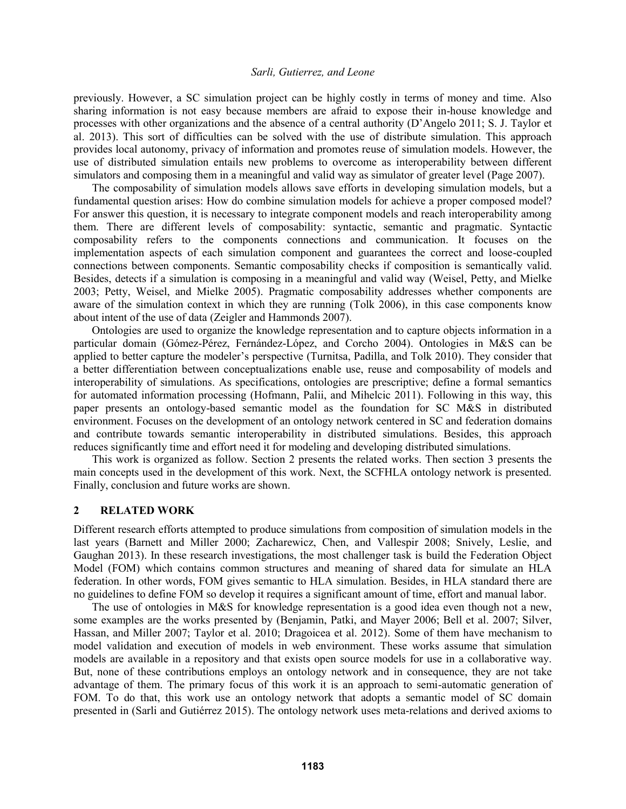previously. However, a SC simulation project can be highly costly in terms of money and time. Also sharing information is not easy because members are afraid to expose their in-house knowledge and processes with other organizations and the absence of a central authority (D'Angelo 2011; S. J. Taylor et al. 2013). This sort of difficulties can be solved with the use of distribute simulation. This approach provides local autonomy, privacy of information and promotes reuse of simulation models. However, the use of distributed simulation entails new problems to overcome as interoperability between different simulators and composing them in a meaningful and valid way as simulator of greater level (Page 2007).

The composability of simulation models allows save efforts in developing simulation models, but a fundamental question arises: How do combine simulation models for achieve a proper composed model? For answer this question, it is necessary to integrate component models and reach interoperability among them. There are different levels of composability: syntactic, semantic and pragmatic. Syntactic composability refers to the components connections and communication. It focuses on the implementation aspects of each simulation component and guarantees the correct and loose-coupled connections between components. Semantic composability checks if composition is semantically valid. Besides, detects if a simulation is composing in a meaningful and valid way (Weisel, Petty, and Mielke 2003; Petty, Weisel, and Mielke 2005). Pragmatic composability addresses whether components are aware of the simulation context in which they are running (Tolk 2006), in this case components know about intent of the use of data (Zeigler and Hammonds 2007).

Ontologies are used to organize the knowledge representation and to capture objects information in a particular domain (Gómez-Pérez, Fernández-López, and Corcho 2004). Ontologies in M&S can be applied to better capture the modeler's perspective (Turnitsa, Padilla, and Tolk 2010). They consider that a better differentiation between conceptualizations enable use, reuse and composability of models and interoperability of simulations. As specifications, ontologies are prescriptive; define a formal semantics for automated information processing (Hofmann, Palii, and Mihelcic 2011). Following in this way, this paper presents an ontology-based semantic model as the foundation for SC M&S in distributed environment. Focuses on the development of an ontology network centered in SC and federation domains and contribute towards semantic interoperability in distributed simulations. Besides, this approach reduces significantly time and effort need it for modeling and developing distributed simulations.

This work is organized as follow. Section 2 presents the related works. Then section 3 presents the main concepts used in the development of this work. Next, the SCFHLA ontology network is presented. Finally, conclusion and future works are shown.

## **2 RELATED WORK**

Different research efforts attempted to produce simulations from composition of simulation models in the last years (Barnett and Miller 2000; Zacharewicz, Chen, and Vallespir 2008; Snively, Leslie, and Gaughan 2013). In these research investigations, the most challenger task is build the Federation Object Model (FOM) which contains common structures and meaning of shared data for simulate an HLA federation. In other words, FOM gives semantic to HLA simulation. Besides, in HLA standard there are no guidelines to define FOM so develop it requires a significant amount of time, effort and manual labor.

The use of ontologies in M&S for knowledge representation is a good idea even though not a new, some examples are the works presented by (Benjamin, Patki, and Mayer 2006; Bell et al. 2007; Silver, Hassan, and Miller 2007; Taylor et al. 2010; Dragoicea et al. 2012). Some of them have mechanism to model validation and execution of models in web environment. These works assume that simulation models are available in a repository and that exists open source models for use in a collaborative way. But, none of these contributions employs an ontology network and in consequence, they are not take advantage of them. The primary focus of this work it is an approach to semi-automatic generation of FOM. To do that, this work use an ontology network that adopts a semantic model of SC domain presented in (Sarli and Gutiérrez 2015). The ontology network uses meta-relations and derived axioms to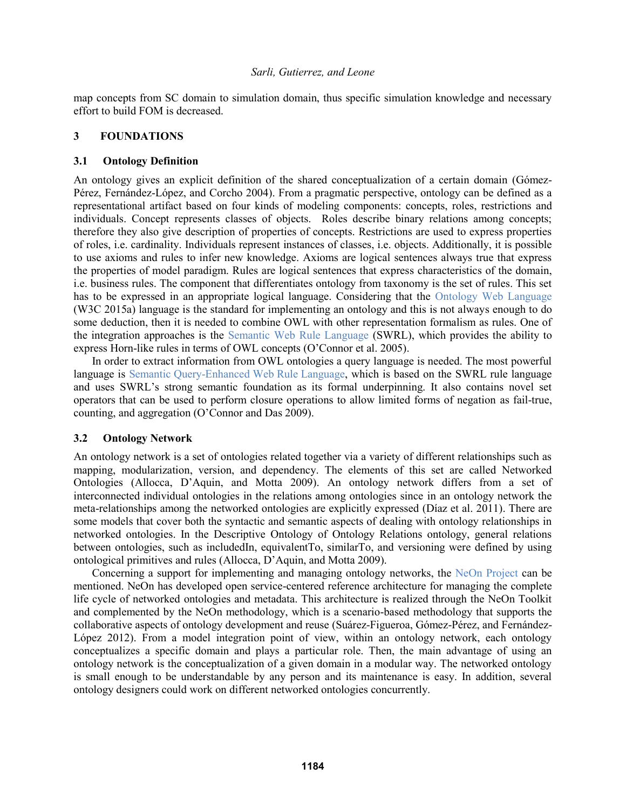map concepts from SC domain to simulation domain, thus specific simulation knowledge and necessary effort to build FOM is decreased.

## **3 FOUNDATIONS**

## **3.1 Ontology Definition**

An ontology gives an explicit definition of the shared conceptualization of a certain domain (Gómez-Pérez, Fernández-López, and Corcho 2004). From a pragmatic perspective, ontology can be defined as a representational artifact based on four kinds of modeling components: concepts, roles, restrictions and individuals. Concept represents classes of objects. Roles describe binary relations among concepts; therefore they also give description of properties of concepts. Restrictions are used to express properties of roles, i.e. cardinality. Individuals represent instances of classes, i.e. objects. Additionally, it is possible to use axioms and rules to infer new knowledge. Axioms are logical sentences always true that express the properties of model paradigm. Rules are logical sentences that express characteristics of the domain, i.e. business rules. The component that differentiates ontology from taxonomy is the set of rules. This set has to be expressed in an appropriate logical language. Considering that the Ontology Web Language (W3C 2015a) language is the standard for implementing an ontology and this is not always enough to do some deduction, then it is needed to combine OWL with other representation formalism as rules. One of the integration approaches is the Semantic Web Rule Language (SWRL), which provides the ability to express Horn-like rules in terms of OWL concepts (O'Connor et al. 2005).

In order to extract information from OWL ontologies a query language is needed. The most powerful language is Semantic Query-Enhanced Web Rule Language, which is based on the SWRL rule language and uses SWRL's strong semantic foundation as its formal underpinning. It also contains novel set operators that can be used to perform closure operations to allow limited forms of negation as fail-true, counting, and aggregation (O'Connor and Das 2009).

# **3.2 Ontology Network**

An ontology network is a set of ontologies related together via a variety of different relationships such as mapping, modularization, version, and dependency. The elements of this set are called Networked Ontologies (Allocca, D'Aquin, and Motta 2009). An ontology network differs from a set of interconnected individual ontologies in the relations among ontologies since in an ontology network the meta-relationships among the networked ontologies are explicitly expressed (Díaz et al. 2011). There are some models that cover both the syntactic and semantic aspects of dealing with ontology relationships in networked ontologies. In the Descriptive Ontology of Ontology Relations ontology, general relations between ontologies, such as includedIn, equivalentTo, similarTo, and versioning were defined by using ontological primitives and rules (Allocca, D'Aquin, and Motta 2009).

Concerning a support for implementing and managing ontology networks, the NeOn Project can be mentioned. NeOn has developed open service-centered reference architecture for managing the complete life cycle of networked ontologies and metadata. This architecture is realized through the NeOn Toolkit and complemented by the NeOn methodology, which is a scenario-based methodology that supports the collaborative aspects of ontology development and reuse (Suárez-Figueroa, Gómez-Pérez, and Fernández-López 2012). From a model integration point of view, within an ontology network, each ontology conceptualizes a specific domain and plays a particular role. Then, the main advantage of using an ontology network is the conceptualization of a given domain in a modular way. The networked ontology is small enough to be understandable by any person and its maintenance is easy. In addition, several ontology designers could work on different networked ontologies concurrently.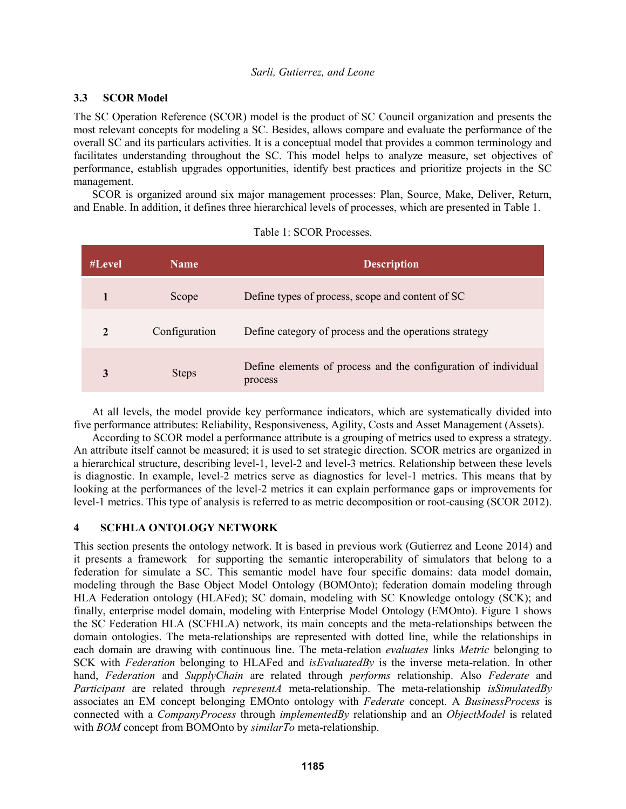# **3.3 SCOR Model**

The SC Operation Reference (SCOR) model is the product of SC Council organization and presents the most relevant concepts for modeling a SC. Besides, allows compare and evaluate the performance of the overall SC and its particulars activities. It is a conceptual model that provides a common terminology and facilitates understanding throughout the SC. This model helps to analyze measure, set objectives of performance, establish upgrades opportunities, identify best practices and prioritize projects in the SC management.

SCOR is organized around six major management processes: Plan, Source, Make, Deliver, Return, and Enable. In addition, it defines three hierarchical levels of processes, which are presented in Table 1.

| #Level | <b>Name</b>   | <b>Description</b>                                                        |
|--------|---------------|---------------------------------------------------------------------------|
|        | Scope         | Define types of process, scope and content of SC                          |
| 2      | Configuration | Define category of process and the operations strategy                    |
|        | <b>Steps</b>  | Define elements of process and the configuration of individual<br>process |

|  |  | Table 1: SCOR Processes. |
|--|--|--------------------------|
|--|--|--------------------------|

At all levels, the model provide key performance indicators, which are systematically divided into five performance attributes: Reliability, Responsiveness, Agility, Costs and Asset Management (Assets).

According to SCOR model a performance attribute is a grouping of metrics used to express a strategy. An attribute itself cannot be measured; it is used to set strategic direction. SCOR metrics are organized in a hierarchical structure, describing level-1, level-2 and level-3 metrics. Relationship between these levels is diagnostic. In example, level-2 metrics serve as diagnostics for level-1 metrics. This means that by looking at the performances of the level-2 metrics it can explain performance gaps or improvements for level-1 metrics. This type of analysis is referred to as metric decomposition or root-causing (SCOR 2012).

# **4 SCFHLA ONTOLOGY NETWORK**

This section presents the ontology network. It is based in previous work (Gutierrez and Leone 2014) and it presents a framework for supporting the semantic interoperability of simulators that belong to a federation for simulate a SC. This semantic model have four specific domains: data model domain, modeling through the Base Object Model Ontology (BOMOnto); federation domain modeling through HLA Federation ontology (HLAFed); SC domain, modeling with SC Knowledge ontology (SCK); and finally, enterprise model domain, modeling with Enterprise Model Ontology (EMOnto). Figure 1 shows the SC Federation HLA (SCFHLA) network, its main concepts and the meta-relationships between the domain ontologies. The meta-relationships are represented with dotted line, while the relationships in each domain are drawing with continuous line. The meta-relation *evaluates* links *Metric* belonging to SCK with *Federation* belonging to HLAFed and *isEvaluatedBy* is the inverse meta-relation. In other hand, *Federation* and *SupplyChain* are related through *performs* relationship. Also *Federate* and *Participant* are related through *representA* meta-relationship. The meta-relationship *isSimulatedBy* associates an EM concept belonging EMOnto ontology with *Federate* concept. A *BusinessProcess* is connected with a *CompanyProcess* through *implementedBy* relationship and an *ObjectModel* is related with *BOM* concept from BOMOnto by *similarTo* meta-relationship.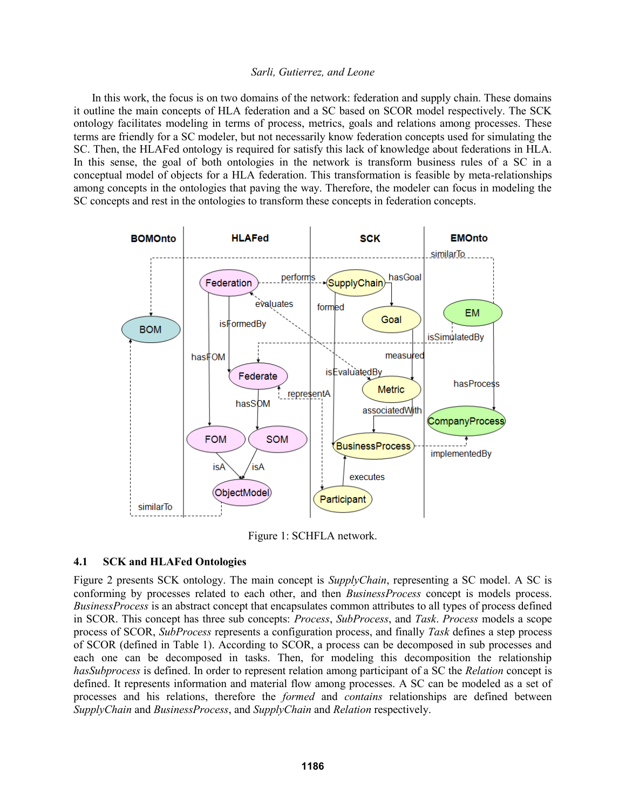In this work, the focus is on two domains of the network: federation and supply chain. These domains it outline the main concepts of HLA federation and a SC based on SCOR model respectively. The SCK ontology facilitates modeling in terms of process, metrics, goals and relations among processes. These terms are friendly for a SC modeler, but not necessarily know federation concepts used for simulating the SC. Then, the HLAFed ontology is required for satisfy this lack of knowledge about federations in HLA. In this sense, the goal of both ontologies in the network is transform business rules of a SC in a conceptual model of objects for a HLA federation. This transformation is feasible by meta-relationships among concepts in the ontologies that paving the way. Therefore, the modeler can focus in modeling the SC concepts and rest in the ontologies to transform these concepts in federation concepts.



Figure 1: SCHFLA network.

# **4.1 SCK and HLAFed Ontologies**

Figure 2 presents SCK ontology. The main concept is *SupplyChain*, representing a SC model. A SC is conforming by processes related to each other, and then *BusinessProcess* concept is models process. *BusinessProcess* is an abstract concept that encapsulates common attributes to all types of process defined in SCOR. This concept has three sub concepts: *Process*, *SubProcess*, and *Task*. *Process* models a scope process of SCOR, *SubProcess* represents a configuration process, and finally *Task* defines a step process of SCOR (defined in Table 1). According to SCOR, a process can be decomposed in sub processes and each one can be decomposed in tasks. Then, for modeling this decomposition the relationship *hasSubprocess* is defined. In order to represent relation among participant of a SC the *Relation* concept is defined. It represents information and material flow among processes. A SC can be modeled as a set of processes and his relations, therefore the *formed* and *contains* relationships are defined between *SupplyChain* and *BusinessProcess*, and *SupplyChain* and *Relation* respectively.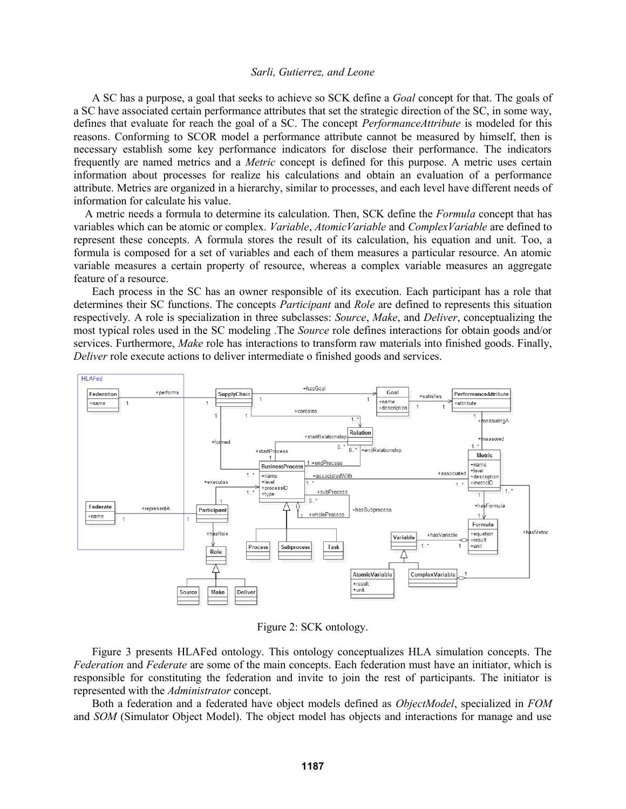A SC has a purpose, a goal that seeks to achieve so SCK define a *Goal* concept for that. The goals of a SC have associated certain performance attributes that set the strategic direction of the SC, in some way, defines that evaluate for reach the goal of a SC. The concept *PerformanceAttribute* is modeled for this reasons. Conforming to SCOR model a performance attribute cannot be measured by himself, then is necessary establish some key performance indicators for disclose their performance. The indicators frequently are named metrics and a *Metric* concept is defined for this purpose. A metric uses certain information about processes for realize his calculations and obtain an evaluation of a performance attribute. Metrics are organized in a hierarchy, similar to processes, and each level have different needs of information for calculate his value.

 A metric needs a formula to determine its calculation. Then, SCK define the *Formula* concept that has variables which can be atomic or complex. *Variable*, *AtomicVariable* and *ComplexVariable* are defined to represent these concepts. A formula stores the result of its calculation, his equation and unit. Too, a formula is composed for a set of variables and each of them measures a particular resource. An atomic variable measures a certain property of resource, whereas a complex variable measures an aggregate feature of a resource.

Each process in the SC has an owner responsible of its execution. Each participant has a role that determines their SC functions. The concepts *Participant* and *Role* are defined to represents this situation respectively. A role is specialization in three subclasses: *Source*, *Make*, and *Deliver*, conceptualizing the most typical roles used in the SC modeling .The *Source* role defines interactions for obtain goods and/or services. Furthermore, *Make* role has interactions to transform raw materials into finished goods. Finally, *Deliver* role execute actions to deliver intermediate o finished goods and services.



Figure 2: SCK ontology.

Figure 3 presents HLAFed ontology. This ontology conceptualizes HLA simulation concepts. The *Federation* and *Federate* are some of the main concepts. Each federation must have an initiator, which is responsible for constituting the federation and invite to join the rest of participants. The initiator is represented with the *Administrator* concept.

Both a federation and a federated have object models defined as *ObjectModel*, specialized in *FOM* and *SOM* (Simulator Object Model). The object model has objects and interactions for manage and use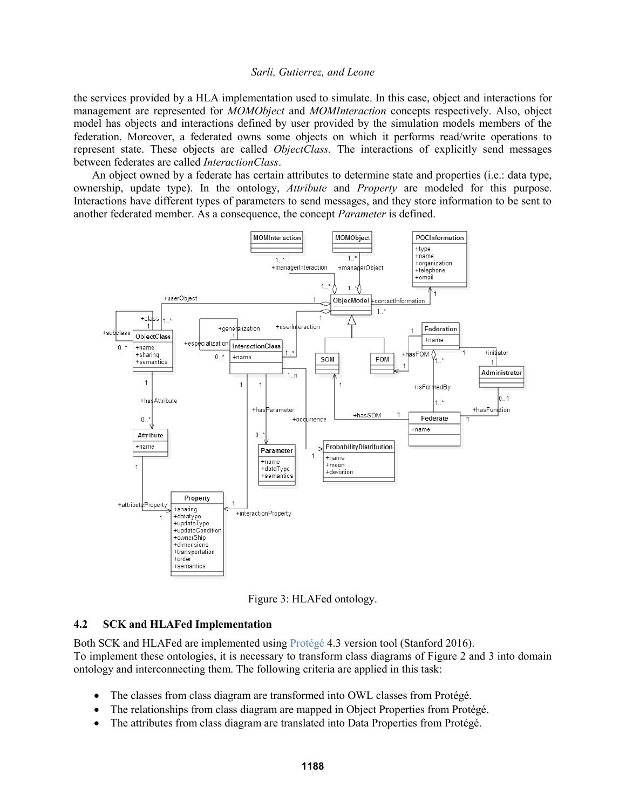the services provided by a HLA implementation used to simulate. In this case, object and interactions for management are represented for *MOMObject* and *MOMInteraction* concepts respectively. Also, object model has objects and interactions defined by user provided by the simulation models members of the federation. Moreover, a federated owns some objects on which it performs read/write operations to represent state. These objects are called *ObjectClass.* The interactions of explicitly send messages between federates are called *InteractionClass*.

An object owned by a federate has certain attributes to determine state and properties (i.e.: data type, ownership, update type). In the ontology, *Attribute* and *Property* are modeled for this purpose. Interactions have different types of parameters to send messages, and they store information to be sent to another federated member. As a consequence, the concept *Parameter* is defined.



Figure 3: HLAFed ontology.

### **4.2 SCK and HLAFed Implementation**

Both SCK and HLAFed are implemented using Protégé 4.3 version tool (Stanford 2016). To implement these ontologies, it is necessary to transform class diagrams of Figure 2 and 3 into domain ontology and interconnecting them. The following criteria are applied in this task:

- The classes from class diagram are transformed into OWL classes from Protégé.
- The relationships from class diagram are mapped in Object Properties from Protégé.
- The attributes from class diagram are translated into Data Properties from Protégé.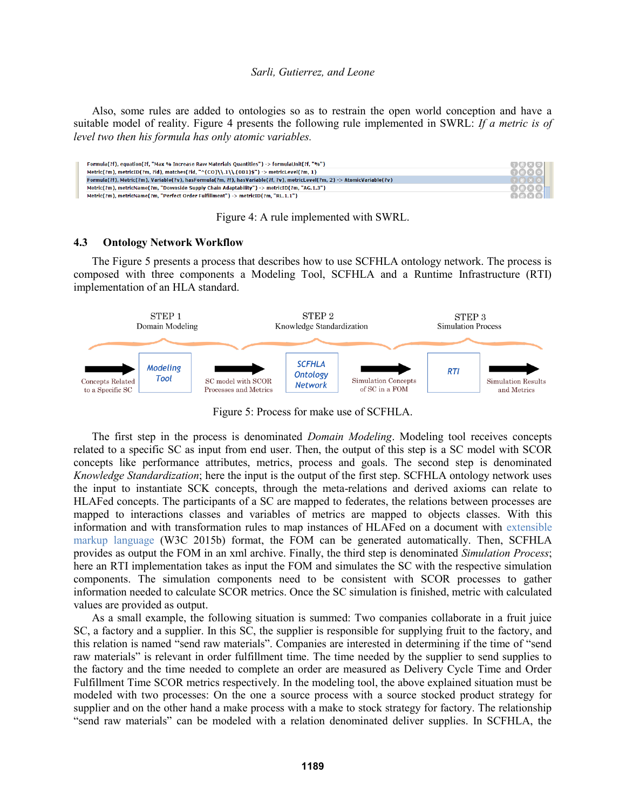Also, some rules are added to ontologies so as to restrain the open world conception and have a suitable model of reality. Figure 4 presents the following rule implemented in SWRL: *If a metric is of level two then his formula has only atomic variables.*



Figure 4: A rule implemented with SWRL.

#### **4.3 Ontology Network Workflow**

The Figure 5 presents a process that describes how to use SCFHLA ontology network. The process is composed with three components a Modeling Tool, SCFHLA and a Runtime Infrastructure (RTI) implementation of an HLA standard.



Figure 5: Process for make use of SCFHLA.

The first step in the process is denominated *Domain Modeling*. Modeling tool receives concepts related to a specific SC as input from end user. Then, the output of this step is a SC model with SCOR concepts like performance attributes, metrics, process and goals. The second step is denominated *Knowledge Standardization*; here the input is the output of the first step. SCFHLA ontology network uses the input to instantiate SCK concepts, through the meta-relations and derived axioms can relate to HLAFed concepts. The participants of a SC are mapped to federates, the relations between processes are mapped to interactions classes and variables of metrics are mapped to objects classes. With this information and with transformation rules to map instances of HLAFed on a document with extensible markup language (W3C 2015b) format, the FOM can be generated automatically. Then, SCFHLA provides as output the FOM in an xml archive. Finally, the third step is denominated *Simulation Process*; here an RTI implementation takes as input the FOM and simulates the SC with the respective simulation components. The simulation components need to be consistent with SCOR processes to gather information needed to calculate SCOR metrics. Once the SC simulation is finished, metric with calculated values are provided as output.

As a small example, the following situation is summed: Two companies collaborate in a fruit juice SC, a factory and a supplier. In this SC, the supplier is responsible for supplying fruit to the factory, and this relation is named "send raw materials". Companies are interested in determining if the time of "send raw materials" is relevant in order fulfillment time. The time needed by the supplier to send supplies to the factory and the time needed to complete an order are measured as Delivery Cycle Time and Order Fulfillment Time SCOR metrics respectively. In the modeling tool, the above explained situation must be modeled with two processes: On the one a source process with a source stocked product strategy for supplier and on the other hand a make process with a make to stock strategy for factory. The relationship "send raw materials" can be modeled with a relation denominated deliver supplies. In SCFHLA, the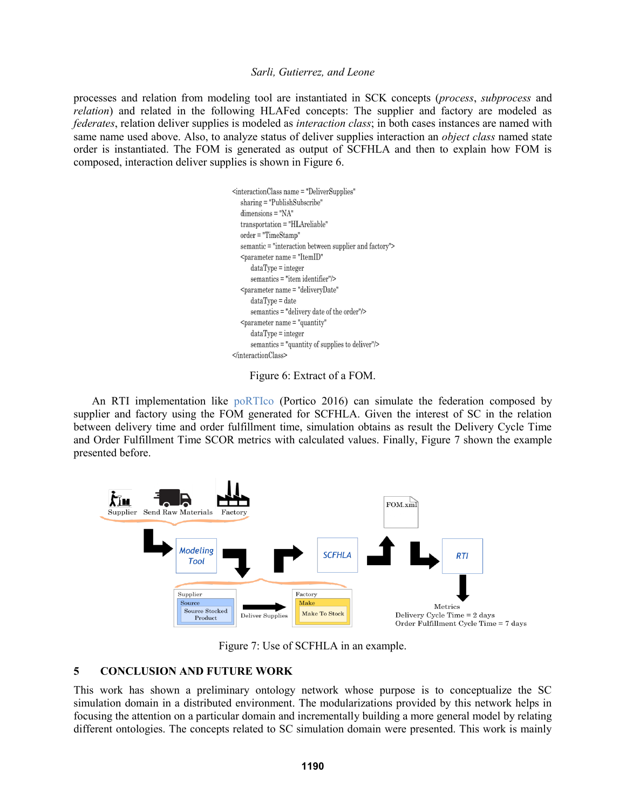processes and relation from modeling tool are instantiated in SCK concepts (*process*, *subprocess* and *relation*) and related in the following HLAFed concepts: The supplier and factory are modeled as *federates*, relation deliver supplies is modeled as *interaction class*; in both cases instances are named with same name used above. Also, to analyze status of deliver supplies interaction an *object class* named state order is instantiated. The FOM is generated as output of SCFHLA and then to explain how FOM is composed, interaction deliver supplies is shown in Figure 6.

> <interactionClass name = "DeliverSupplies"  $sharing = "Publishedubscript"$  $dimensions="NA"$ transportation = "HLAreliable" order = "TimeStamp" semantic = "interaction between supplier and factory">  $dataType = integer$ semantics = "item identifier"/> <parameter name = "deliveryDate"  $dataType = date$ semantics = "delivery date of the order"/>  $dataType = integer$ semantics = "quantity of supplies to deliver"/>  $\triangleleft$ interactionClass>

Figure 6: Extract of a FOM.

An RTI implementation like poRTIco (Portico 2016) can simulate the federation composed by supplier and factory using the FOM generated for SCFHLA. Given the interest of SC in the relation between delivery time and order fulfillment time, simulation obtains as result the Delivery Cycle Time and Order Fulfillment Time SCOR metrics with calculated values. Finally, Figure 7 shown the example presented before.



Figure 7: Use of SCFHLA in an example.

# **5 CONCLUSION AND FUTURE WORK**

This work has shown a preliminary ontology network whose purpose is to conceptualize the SC simulation domain in a distributed environment. The modularizations provided by this network helps in focusing the attention on a particular domain and incrementally building a more general model by relating different ontologies. The concepts related to SC simulation domain were presented. This work is mainly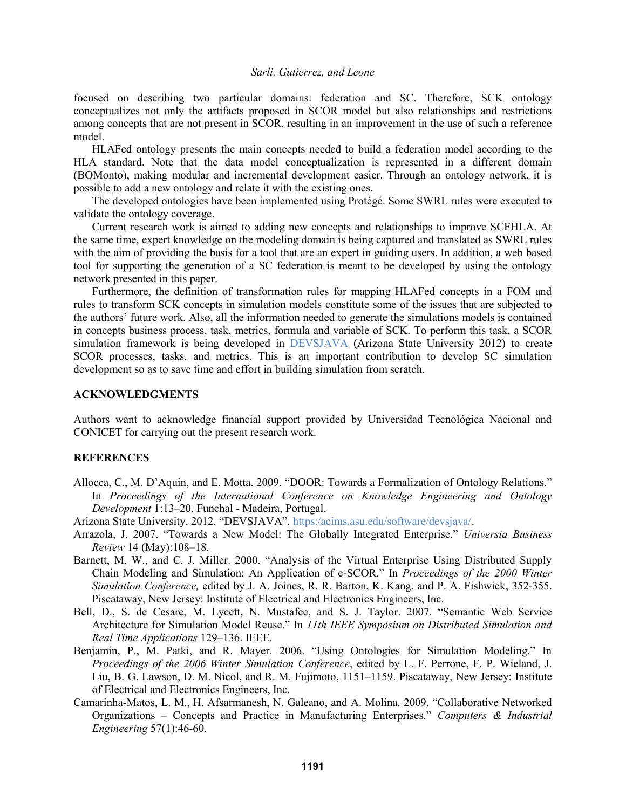focused on describing two particular domains: federation and SC. Therefore, SCK ontology conceptualizes not only the artifacts proposed in SCOR model but also relationships and restrictions among concepts that are not present in SCOR, resulting in an improvement in the use of such a reference model.

HLAFed ontology presents the main concepts needed to build a federation model according to the HLA standard. Note that the data model conceptualization is represented in a different domain (BOMonto), making modular and incremental development easier. Through an ontology network, it is possible to add a new ontology and relate it with the existing ones.

The developed ontologies have been implemented using Protégé. Some SWRL rules were executed to validate the ontology coverage.

Current research work is aimed to adding new concepts and relationships to improve SCFHLA. At the same time, expert knowledge on the modeling domain is being captured and translated as SWRL rules with the aim of providing the basis for a tool that are an expert in guiding users. In addition, a web based tool for supporting the generation of a SC federation is meant to be developed by using the ontology network presented in this paper.

Furthermore, the definition of transformation rules for mapping HLAFed concepts in a FOM and rules to transform SCK concepts in simulation models constitute some of the issues that are subjected to the authors' future work. Also, all the information needed to generate the simulations models is contained in concepts business process, task, metrics, formula and variable of SCK. To perform this task, a SCOR simulation framework is being developed in DEVSJAVA (Arizona State University 2012) to create SCOR processes, tasks, and metrics. This is an important contribution to develop SC simulation development so as to save time and effort in building simulation from scratch.

### **ACKNOWLEDGMENTS**

Authors want to acknowledge financial support provided by Universidad Tecnológica Nacional and CONICET for carrying out the present research work.

### **REFERENCES**

Allocca, C., M. D'Aquin, and E. Motta. 2009. "DOOR: Towards a Formalization of Ontology Relations." In *Proceedings of the International Conference on Knowledge Engineering and Ontology Development* 1:13–20. Funchal - Madeira, Portugal.

Arizona State University. 2012. "DEVSJAVA". https:/acims.asu.edu/software/devsjava/.

- Arrazola, J. 2007. "Towards a New Model: The Globally Integrated Enterprise." *Universia Business Review* 14 (May):108–18.
- Barnett, M. W., and C. J. Miller. 2000. "Analysis of the Virtual Enterprise Using Distributed Supply Chain Modeling and Simulation: An Application of e-SCOR." In *Proceedings of the 2000 Winter Simulation Conference,* edited by J. A. Joines, R. R. Barton, K. Kang, and P. A. Fishwick, 352-355. Piscataway, New Jersey: Institute of Electrical and Electronics Engineers, Inc.
- Bell, D., S. de Cesare, M. Lycett, N. Mustafee, and S. J. Taylor. 2007. "Semantic Web Service Architecture for Simulation Model Reuse." In *11th IEEE Symposium on Distributed Simulation and Real Time Applications* 129–136. IEEE.
- Benjamin, P., M. Patki, and R. Mayer. 2006. "Using Ontologies for Simulation Modeling." In *Proceedings of the 2006 Winter Simulation Conference*, edited by L. F. Perrone, F. P. Wieland, J. Liu, B. G. Lawson, D. M. Nicol, and R. M. Fujimoto, 1151–1159. Piscataway, New Jersey: Institute of Electrical and Electronics Engineers, Inc.
- Camarinha-Matos, L. M., H. Afsarmanesh, N. Galeano, and A. Molina. 2009. "Collaborative Networked Organizations – Concepts and Practice in Manufacturing Enterprises." *Computers & Industrial Engineering* 57(1):46-60.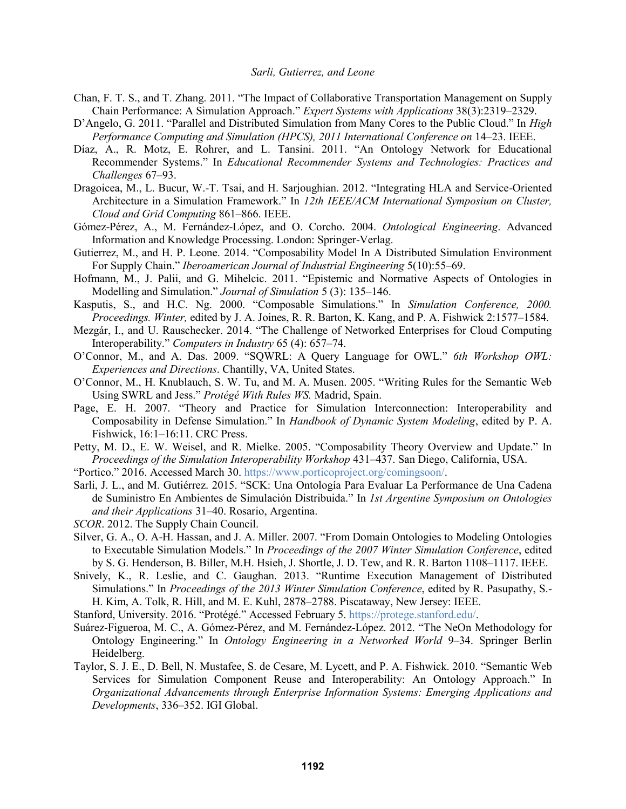- Chan, F. T. S., and T. Zhang. 2011. "The Impact of Collaborative Transportation Management on Supply Chain Performance: A Simulation Approach." *Expert Systems with Applications* 38(3):2319–2329.
- D'Angelo, G. 2011. "Parallel and Distributed Simulation from Many Cores to the Public Cloud." In *High Performance Computing and Simulation (HPCS), 2011 International Conference on* 14–23. IEEE.
- Díaz, A., R. Motz, E. Rohrer, and L. Tansini. 2011. "An Ontology Network for Educational Recommender Systems." In *Educational Recommender Systems and Technologies: Practices and Challenges* 67–93.
- Dragoicea, M., L. Bucur, W.-T. Tsai, and H. Sarjoughian. 2012. "Integrating HLA and Service-Oriented Architecture in a Simulation Framework." In *12th IEEE/ACM International Symposium on Cluster, Cloud and Grid Computing* 861–866. IEEE.
- Gómez-Pérez, A., M. Fernández-López, and O. Corcho. 2004. *Ontological Engineering*. Advanced Information and Knowledge Processing. London: Springer-Verlag.
- Gutierrez, M., and H. P. Leone. 2014. "Composability Model In A Distributed Simulation Environment For Supply Chain." *Iberoamerican Journal of Industrial Engineering* 5(10):55–69.
- Hofmann, M., J. Palii, and G. Mihelcic. 2011. "Epistemic and Normative Aspects of Ontologies in Modelling and Simulation." *Journal of Simulation* 5 (3): 135–146.
- Kasputis, S., and H.C. Ng. 2000. "Composable Simulations." In *Simulation Conference, 2000. Proceedings. Winter,* edited by J. A. Joines, R. R. Barton, K. Kang, and P. A. Fishwick 2:1577–1584.
- Mezgár, I., and U. Rauschecker. 2014. "The Challenge of Networked Enterprises for Cloud Computing Interoperability." *Computers in Industry* 65 (4): 657–74.
- O'Connor, M., and A. Das. 2009. "SQWRL: A Query Language for OWL." *6th Workshop OWL: Experiences and Directions*. Chantilly, VA, United States.
- O'Connor, M., H. Knublauch, S. W. Tu, and M. A. Musen. 2005. "Writing Rules for the Semantic Web Using SWRL and Jess." *Protégé With Rules WS.* Madrid, Spain.
- Page, E. H. 2007. "Theory and Practice for Simulation Interconnection: Interoperability and Composability in Defense Simulation." In *Handbook of Dynamic System Modeling*, edited by P. A. Fishwick, 16:1–16:11. CRC Press.
- Petty, M. D., E. W. Weisel, and R. Mielke. 2005. "Composability Theory Overview and Update." In *Proceedings of the Simulation Interoperability Workshop* 431–437. San Diego, California, USA.
- "Portico." 2016. Accessed March 30. https://www.porticoproject.org/comingsoon/.
- Sarli, J. L., and M. Gutiérrez. 2015. "SCK: Una Ontología Para Evaluar La Performance de Una Cadena de Suministro En Ambientes de Simulación Distribuida." In *1st Argentine Symposium on Ontologies and their Applications* 31–40. Rosario, Argentina.
- *SCOR*. 2012. The Supply Chain Council.
- Silver, G. A., O. A-H. Hassan, and J. A. Miller. 2007. "From Domain Ontologies to Modeling Ontologies to Executable Simulation Models." In *Proceedings of the 2007 Winter Simulation Conference*, edited by S. G. Henderson, B. Biller, M.H. Hsieh, J. Shortle, J. D. Tew, and R. R. Barton 1108–1117. IEEE.
- Snively, K., R. Leslie, and C. Gaughan. 2013. "Runtime Execution Management of Distributed Simulations." In *Proceedings of the 2013 Winter Simulation Conference*, edited by R. Pasupathy, S.- H. Kim, A. Tolk, R. Hill, and M. E. Kuhl, 2878–2788. Piscataway, New Jersey: IEEE.
- Stanford, University. 2016. "Protégé." Accessed February 5. https://protege.stanford.edu/.
- Suárez-Figueroa, M. C., A. Gómez-Pérez, and M. Fernández-López. 2012. "The NeOn Methodology for Ontology Engineering." In *Ontology Engineering in a Networked World* 9–34. Springer Berlin Heidelberg.
- Taylor, S. J. E., D. Bell, N. Mustafee, S. de Cesare, M. Lycett, and P. A. Fishwick. 2010. "Semantic Web Services for Simulation Component Reuse and Interoperability: An Ontology Approach." In *Organizational Advancements through Enterprise Information Systems: Emerging Applications and Developments*, 336–352. IGI Global.